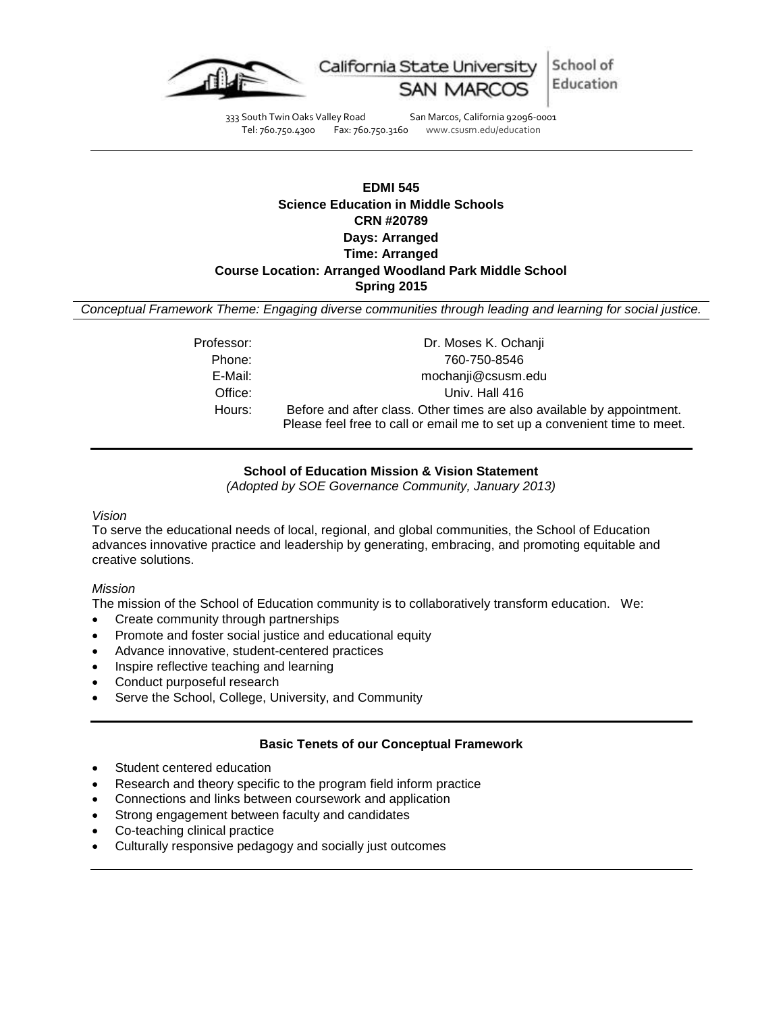

333 South Twin Oaks Valley Road San Marcos, California 92096-0001 Tel: 760.750.4300 Fax: 760.750.3160 www.csusm.edu/education

# **EDMI 545 Science Education in Middle Schools CRN #20789 Days: Arranged Time: Arranged Course Location: Arranged Woodland Park Middle School Spring 2015**

*Conceptual Framework Theme: Engaging diverse communities through leading and learning for social justice.*

| Professor: | Dr. Moses K. Ochanji                                                      |
|------------|---------------------------------------------------------------------------|
| Phone:     | 760-750-8546                                                              |
| E-Mail:    | mochanji@csusm.edu                                                        |
| Office:    | Univ. Hall 416                                                            |
| Hours:     | Before and after class. Other times are also available by appointment.    |
|            | Please feel free to call or email me to set up a convenient time to meet. |

# **School of Education Mission & Vision Statement**

*(Adopted by SOE Governance Community, January 2013)*

#### *Vision*

To serve the educational needs of local, regional, and global communities, the School of Education advances innovative practice and leadership by generating, embracing, and promoting equitable and creative solutions.

#### *Mission*

The mission of the School of Education community is to collaboratively transform education. We:

- Create community through partnerships
- Promote and foster social justice and educational equity
- Advance innovative, student-centered practices
- Inspire reflective teaching and learning
- Conduct purposeful research
- Serve the School, College, University, and Community

#### **Basic Tenets of our Conceptual Framework**

- Student centered education
- Research and theory specific to the program field inform practice
- Connections and links between coursework and application
- Strong engagement between faculty and candidates
- Co-teaching clinical practice
- Culturally responsive pedagogy and socially just outcomes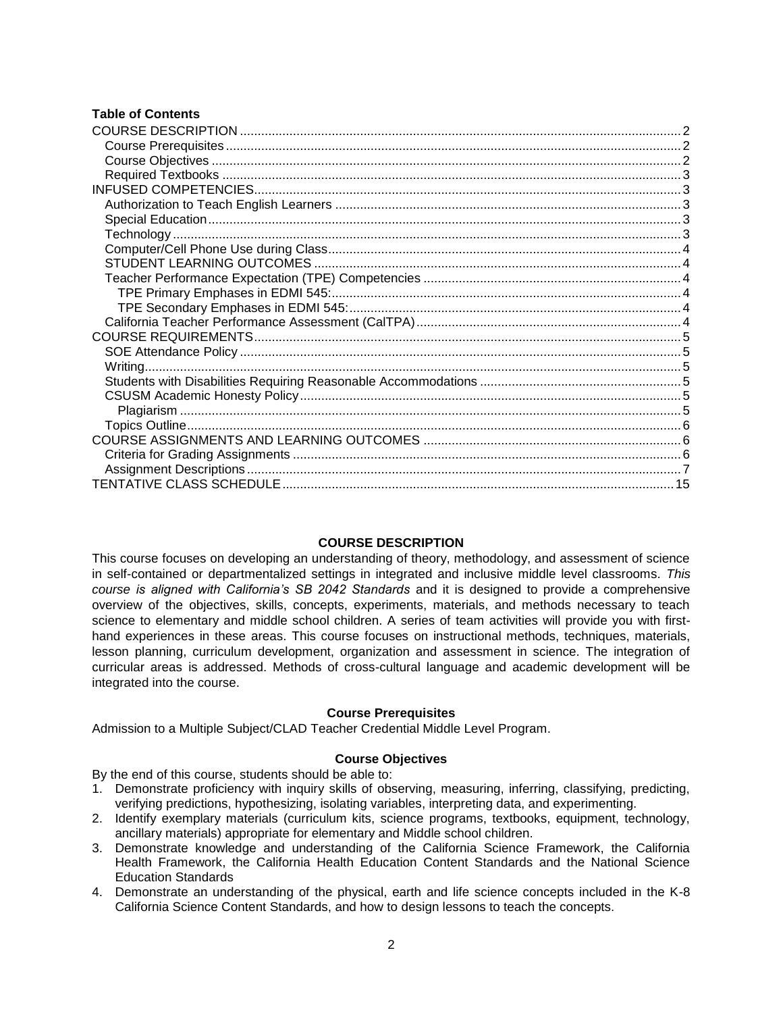#### **Table of Contents**

#### **COURSE DESCRIPTION**

<span id="page-1-0"></span>This course focuses on developing an understanding of theory, methodology, and assessment of science in self-contained or departmentalized settings in integrated and inclusive middle level classrooms. *This course is aligned with California's SB 2042 Standards* and it is designed to provide a comprehensive overview of the objectives, skills, concepts, experiments, materials, and methods necessary to teach science to elementary and middle school children. A series of team activities will provide you with firsthand experiences in these areas. This course focuses on instructional methods, techniques, materials, lesson planning, curriculum development, organization and assessment in science. The integration of curricular areas is addressed. Methods of cross-cultural language and academic development will be integrated into the course.

#### **Course Prerequisites**

<span id="page-1-1"></span>Admission to a Multiple Subject/CLAD Teacher Credential Middle Level Program.

#### **Course Objectives**

<span id="page-1-2"></span>By the end of this course, students should be able to:

- 1. Demonstrate proficiency with inquiry skills of observing, measuring, inferring, classifying, predicting, verifying predictions, hypothesizing, isolating variables, interpreting data, and experimenting.
- 2. Identify exemplary materials (curriculum kits, science programs, textbooks, equipment, technology, ancillary materials) appropriate for elementary and Middle school children.
- 3. Demonstrate knowledge and understanding of the California Science Framework, the California Health Framework, the California Health Education Content Standards and the National Science Education Standards
- 4. Demonstrate an understanding of the physical, earth and life science concepts included in the K-8 California Science Content Standards, and how to design lessons to teach the concepts.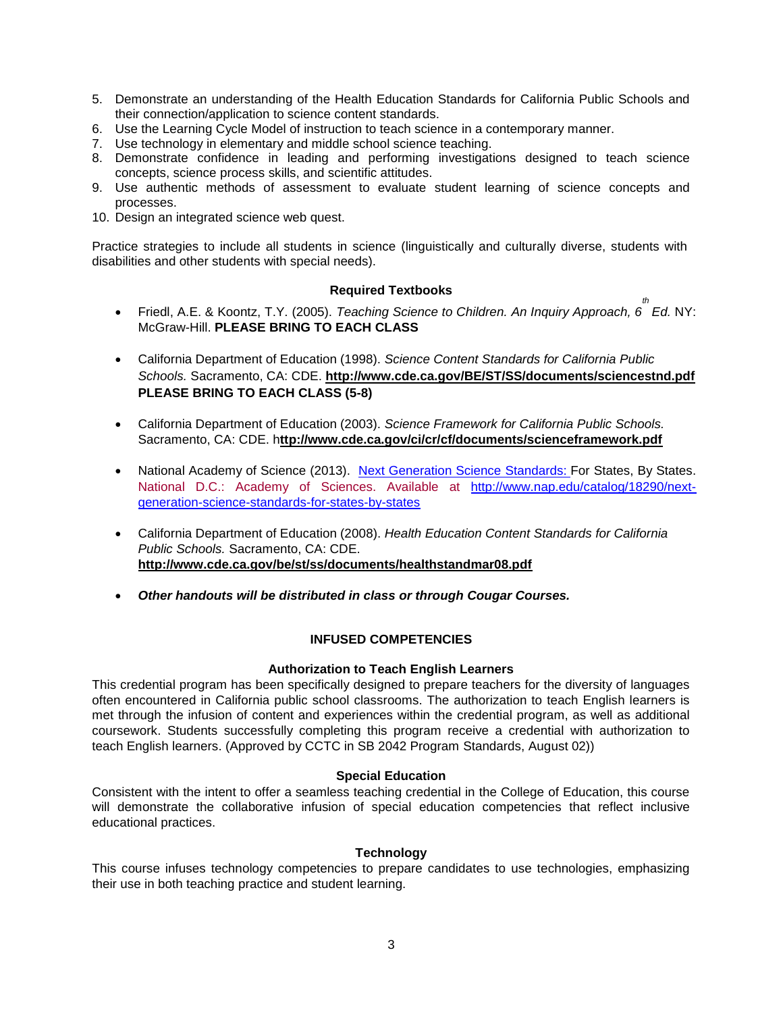- 5. Demonstrate an understanding of the Health Education Standards for California Public Schools and their connection/application to science content standards.
- 6. Use the Learning Cycle Model of instruction to teach science in a contemporary manner.
- 7. Use technology in elementary and middle school science teaching.
- 8. Demonstrate confidence in leading and performing investigations designed to teach science concepts, science process skills, and scientific attitudes.
- 9. Use authentic methods of assessment to evaluate student learning of science concepts and processes.
- 10. Design an integrated science web quest.

Practice strategies to include all students in science (linguistically and culturally diverse, students with disabilities and other students with special needs).

#### **Required Textbooks**

- <span id="page-2-0"></span> Friedl, A.E. & Koontz, T.Y. (2005). *Teaching Science to Children. An Inquiry Approach, 6 th Ed.* NY: McGraw-Hill. **PLEASE BRING TO EACH CLASS**
- California Department of Education (1998). *Science Content Standards for California Public Schools.* Sacramento, CA: CDE. **http://www.cde.ca.gov/BE/ST/SS/documents/sciencestnd.pdf PLEASE BRING TO EACH CLASS (5-8)**
- California Department of Education (2003). *Science Framework for California Public Schools.*  Sacramento, CA: CDE. h**ttp://www.cde.ca.gov/ci/cr/cf/documents/scienceframework.pdf**
- National Academy of Science (2013). [Next Generation Science Standards:](http://www.nap.edu/openbook.php?record_id=18290) For States, By States. National D.C.: Academy of Sciences. Available at [http://www.nap.edu/catalog/18290/next](http://www.nap.edu/catalog/18290/next-generation-science-standards-for-states-by-states)[generation-science-standards-for-states-by-states](http://www.nap.edu/catalog/18290/next-generation-science-standards-for-states-by-states)
- California Department of Education (2008). *Health Education Content Standards for California Public Schools.* Sacramento, CA: CDE. **http://www.cde.ca.gov/be/st/ss/documents/healthstandmar08.pdf**
- *Other handouts will be distributed in class or through Cougar Courses.*

# **INFUSED COMPETENCIES**

#### **Authorization to Teach English Learners**

<span id="page-2-2"></span><span id="page-2-1"></span>This credential program has been specifically designed to prepare teachers for the diversity of languages often encountered in California public school classrooms. The authorization to teach English learners is met through the infusion of content and experiences within the credential program, as well as additional coursework. Students successfully completing this program receive a credential with authorization to teach English learners. (Approved by CCTC in SB 2042 Program Standards, August 02))

#### **Special Education**

<span id="page-2-3"></span>Consistent with the intent to offer a seamless teaching credential in the College of Education, this course will demonstrate the collaborative infusion of special education competencies that reflect inclusive educational practices.

#### **Technology**

<span id="page-2-5"></span><span id="page-2-4"></span>This course infuses technology competencies to prepare candidates to use technologies, emphasizing their use in both teaching practice and student learning.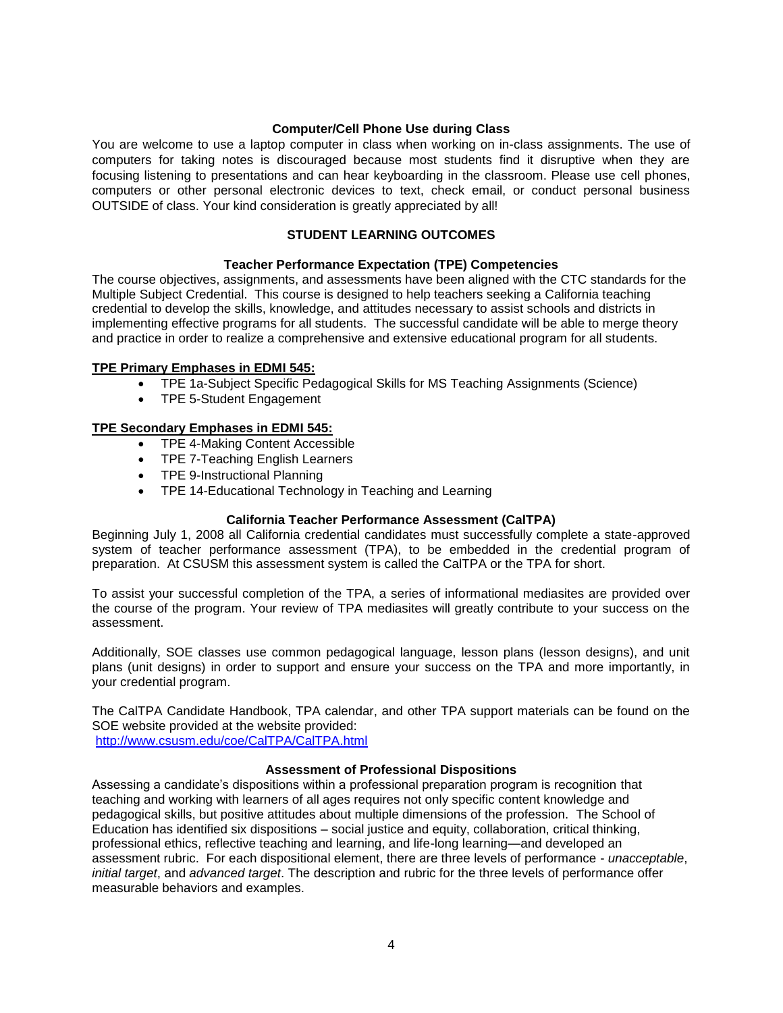#### **Computer/Cell Phone Use during Class**

You are welcome to use a laptop computer in class when working on in-class assignments. The use of computers for taking notes is discouraged because most students find it disruptive when they are focusing listening to presentations and can hear keyboarding in the classroom. Please use cell phones, computers or other personal electronic devices to text, check email, or conduct personal business OUTSIDE of class. Your kind consideration is greatly appreciated by all!

# **STUDENT LEARNING OUTCOMES**

### **Teacher Performance Expectation (TPE) Competencies**

<span id="page-3-1"></span><span id="page-3-0"></span>The course objectives, assignments, and assessments have been aligned with the CTC standards for the Multiple Subject Credential. This course is designed to help teachers seeking a California teaching credential to develop the skills, knowledge, and attitudes necessary to assist schools and districts in implementing effective programs for all students. The successful candidate will be able to merge theory and practice in order to realize a comprehensive and extensive educational program for all students.

### <span id="page-3-2"></span>**TPE Primary Emphases in EDMI 545:**

- TPE 1a-Subject Specific Pedagogical Skills for MS Teaching Assignments (Science)
- TPE 5-Student Engagement

### <span id="page-3-3"></span>**TPE Secondary Emphases in EDMI 545:**

- TPE 4-Making Content Accessible
- TPE 7-Teaching English Learners
- TPE 9-Instructional Planning
- TPE 14-Educational Technology in Teaching and Learning

# **California Teacher Performance Assessment (CalTPA)**

<span id="page-3-4"></span>Beginning July 1, 2008 all California credential candidates must successfully complete a state-approved system of teacher performance assessment (TPA), to be embedded in the credential program of preparation. At CSUSM this assessment system is called the CalTPA or the TPA for short.

To assist your successful completion of the TPA, a series of informational mediasites are provided over the course of the program. Your review of TPA mediasites will greatly contribute to your success on the assessment.

Additionally, SOE classes use common pedagogical language, lesson plans (lesson designs), and unit plans (unit designs) in order to support and ensure your success on the TPA and more importantly, in your credential program.

The CalTPA Candidate Handbook, TPA calendar, and other TPA support materials can be found on the SOE website provided at the website provided:

<http://www.csusm.edu/coe/CalTPA/CalTPA.html>

#### **Assessment of Professional Dispositions**

Assessing a candidate's dispositions within a professional preparation program is recognition that teaching and working with learners of all ages requires not only specific content knowledge and pedagogical skills, but positive attitudes about multiple dimensions of the profession. The School of Education has identified six dispositions – social justice and equity, collaboration, critical thinking, professional ethics, reflective teaching and learning, and life-long learning—and developed an assessment rubric. For each dispositional element, there are three levels of performance - *unacceptable*, *initial target*, and *advanced target*. The description and rubric for the three levels of performance offer measurable behaviors and examples.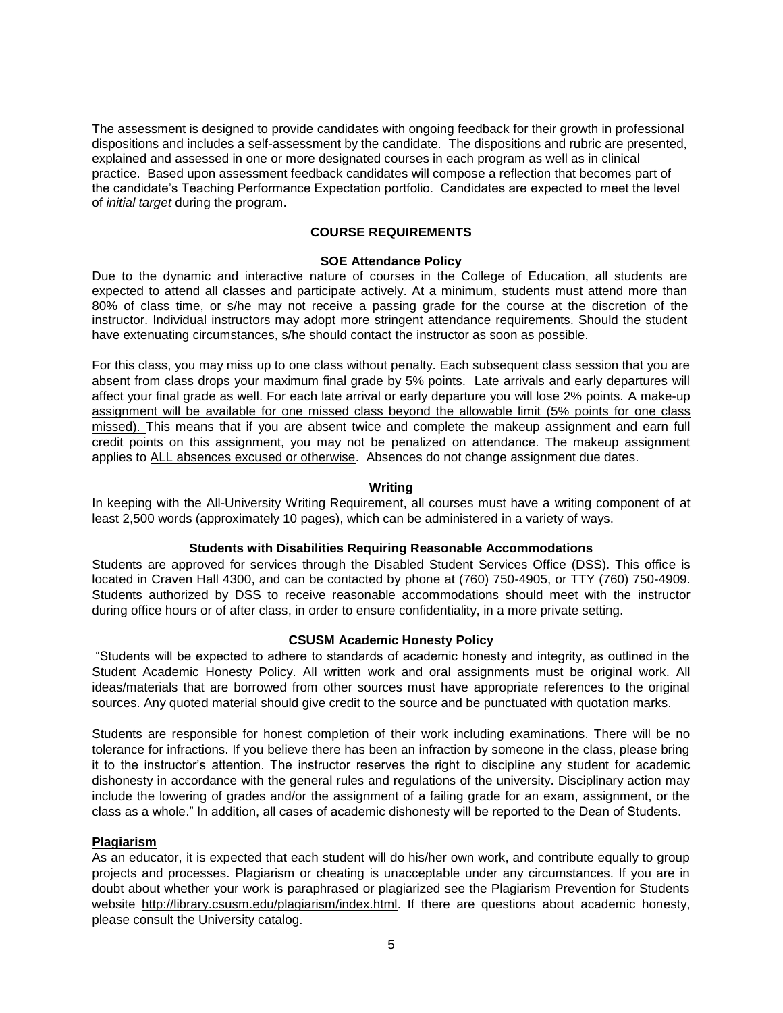The assessment is designed to provide candidates with ongoing feedback for their growth in professional dispositions and includes a self-assessment by the candidate. The dispositions and rubric are presented, explained and assessed in one or more designated courses in each program as well as in clinical practice. Based upon assessment feedback candidates will compose a reflection that becomes part of the candidate's Teaching Performance Expectation portfolio. Candidates are expected to meet the level of *initial target* during the program.

# **COURSE REQUIREMENTS**

#### **SOE Attendance Policy**

<span id="page-4-1"></span><span id="page-4-0"></span>Due to the dynamic and interactive nature of courses in the College of Education, all students are expected to attend all classes and participate actively. At a minimum, students must attend more than 80% of class time, or s/he may not receive a passing grade for the course at the discretion of the instructor. Individual instructors may adopt more stringent attendance requirements. Should the student have extenuating circumstances, s/he should contact the instructor as soon as possible.

For this class, you may miss up to one class without penalty. Each subsequent class session that you are absent from class drops your maximum final grade by 5% points. Late arrivals and early departures will affect your final grade as well. For each late arrival or early departure you will lose 2% points. A make-up assignment will be available for one missed class beyond the allowable limit (5% points for one class missed). This means that if you are absent twice and complete the makeup assignment and earn full credit points on this assignment, you may not be penalized on attendance. The makeup assignment applies to ALL absences excused or otherwise. Absences do not change assignment due dates.

#### **Writing**

<span id="page-4-2"></span>In keeping with the All-University Writing Requirement, all courses must have a writing component of at least 2,500 words (approximately 10 pages), which can be administered in a variety of ways.

#### **Students with Disabilities Requiring Reasonable Accommodations**

<span id="page-4-3"></span>Students are approved for services through the Disabled Student Services Office (DSS). This office is located in Craven Hall 4300, and can be contacted by phone at (760) 750-4905, or TTY (760) 750-4909. Students authorized by DSS to receive reasonable accommodations should meet with the instructor during office hours or of after class, in order to ensure confidentiality, in a more private setting.

### **CSUSM Academic Honesty Policy**

<span id="page-4-4"></span>"Students will be expected to adhere to standards of academic honesty and integrity, as outlined in the Student Academic Honesty Policy. All written work and oral assignments must be original work. All ideas/materials that are borrowed from other sources must have appropriate references to the original sources. Any quoted material should give credit to the source and be punctuated with quotation marks.

Students are responsible for honest completion of their work including examinations. There will be no tolerance for infractions. If you believe there has been an infraction by someone in the class, please bring it to the instructor's attention. The instructor reserves the right to discipline any student for academic dishonesty in accordance with the general rules and regulations of the university. Disciplinary action may include the lowering of grades and/or the assignment of a failing grade for an exam, assignment, or the class as a whole." In addition, all cases of academic dishonesty will be reported to the Dean of Students.

#### <span id="page-4-5"></span>**Plagiarism**

As an educator, it is expected that each student will do his/her own work, and contribute equally to group projects and processes. Plagiarism or cheating is unacceptable under any circumstances. If you are in doubt about whether your work is paraphrased or plagiarized see the Plagiarism Prevention for Students website http://library.csusm.edu/plagiarism/index.html. If there are questions about academic honesty, please consult the University catalog.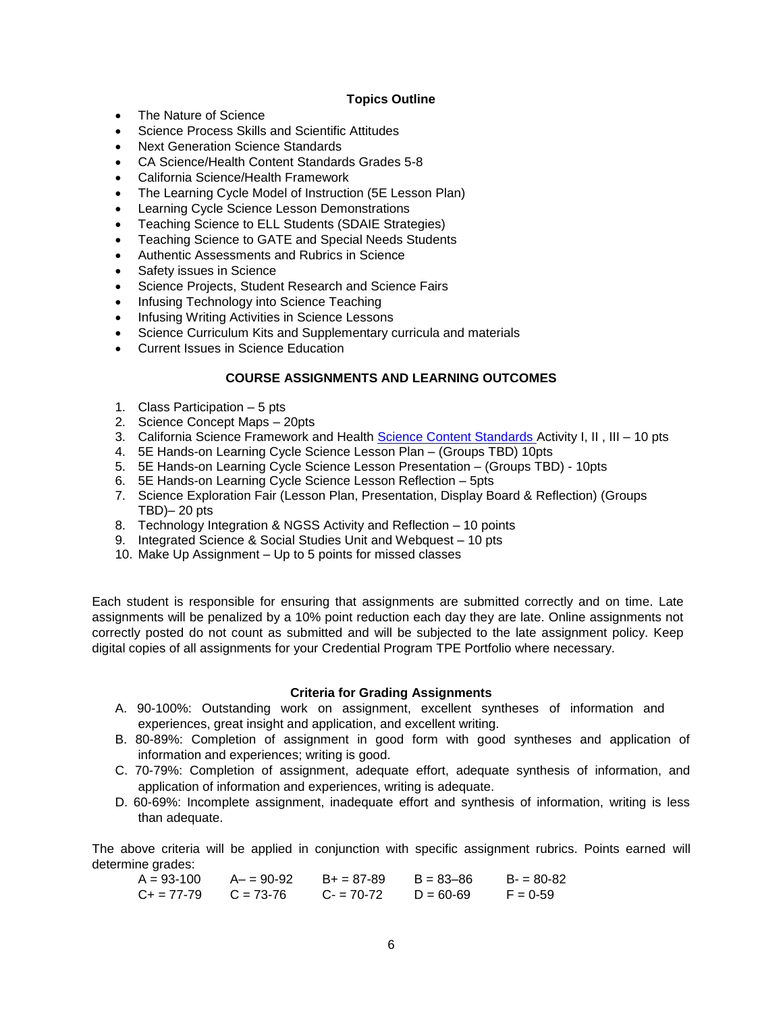### **Topics Outline**

- <span id="page-5-0"></span>• The Nature of Science
- Science Process Skills and Scientific Attitudes
- Next Generation Science Standards
- CA Science/Health Content Standards Grades 5-8
- California Science/Health Framework
- The Learning Cycle Model of Instruction (5E Lesson Plan)
- Learning Cycle Science Lesson Demonstrations
- Teaching Science to ELL Students (SDAIE Strategies)
- Teaching Science to GATE and Special Needs Students
- Authentic Assessments and Rubrics in Science
- Safety issues in Science
- Science Projects, Student Research and Science Fairs
- Infusing Technology into Science Teaching
- Infusing Writing Activities in Science Lessons
- Science Curriculum Kits and Supplementary curricula and materials
- Current Issues in Science Education

### **COURSE ASSIGNMENTS AND LEARNING OUTCOMES**

- <span id="page-5-1"></span>1. Class Participation – 5 pts
- 2. Science Concept Maps 20pts
- 3. California Science Framework and Health [Science Content Standards A](http://www.cde.ca.gov/be/st/ss/documents/sciencestnd.pdf)ctivity I, II, III 10 pts
- 4. 5E Hands-on Learning Cycle Science Lesson Plan (Groups TBD) 10pts
- 5. 5E Hands-on Learning Cycle Science Lesson Presentation (Groups TBD) 10pts
- 6. 5E Hands-on Learning Cycle Science Lesson Reflection 5pts
- 7. Science Exploration Fair (Lesson Plan, Presentation, Display Board & Reflection) (Groups TBD)– 20 pts
- 8. Technology Integration & NGSS Activity and Reflection 10 points
- 9. Integrated Science & Social Studies Unit and Webquest 10 pts
- 10. Make Up Assignment Up to 5 points for missed classes

Each student is responsible for ensuring that assignments are submitted correctly and on time. Late assignments will be penalized by a 10% point reduction each day they are late. Online assignments not correctly posted do not count as submitted and will be subjected to the late assignment policy. Keep digital copies of all assignments for your Credential Program TPE Portfolio where necessary.

#### **Criteria for Grading Assignments**

- <span id="page-5-2"></span>A. 90-100%: Outstanding work on assignment, excellent syntheses of information and experiences, great insight and application, and excellent writing.
- B. 80-89%: Completion of assignment in good form with good syntheses and application of information and experiences; writing is good.
- C. 70-79%: Completion of assignment, adequate effort, adequate synthesis of information, and application of information and experiences, writing is adequate.
- D. 60-69%: Incomplete assignment, inadequate effort and synthesis of information, writing is less than adequate.

The above criteria will be applied in conjunction with specific assignment rubrics. Points earned will determine grades:

$$
A = 93-100 \qquad A - 90-92 \qquad B + 87-89 \qquad B = 83-86 \qquad B - 80-82
$$
\n
$$
C + 87-79 \qquad C = 73-76 \qquad C - 87-72 \qquad D = 60-69 \qquad F = 0-59
$$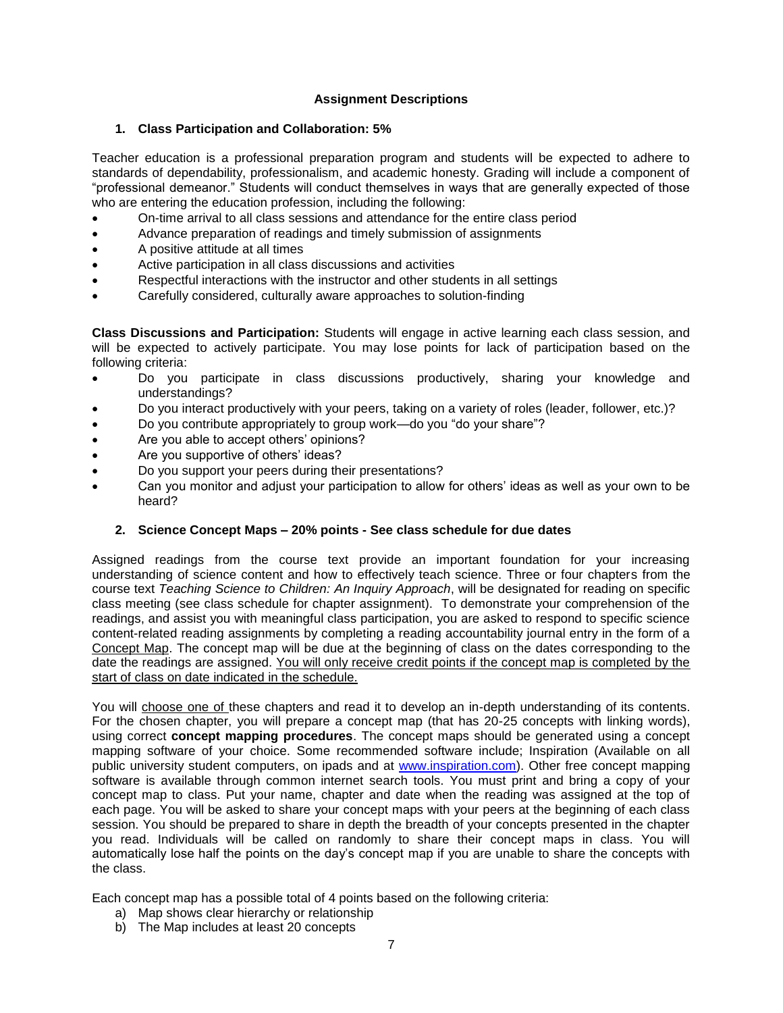# **Assignment Descriptions**

# <span id="page-6-0"></span>**1. Class Participation and Collaboration: 5%**

Teacher education is a professional preparation program and students will be expected to adhere to standards of dependability, professionalism, and academic honesty. Grading will include a component of "professional demeanor." Students will conduct themselves in ways that are generally expected of those who are entering the education profession, including the following:

- On-time arrival to all class sessions and attendance for the entire class period
- Advance preparation of readings and timely submission of assignments
- A positive attitude at all times
- Active participation in all class discussions and activities
- Respectful interactions with the instructor and other students in all settings
- Carefully considered, culturally aware approaches to solution-finding

**Class Discussions and Participation:** Students will engage in active learning each class session, and will be expected to actively participate. You may lose points for lack of participation based on the following criteria:

- Do you participate in class discussions productively, sharing your knowledge and understandings?
- Do you interact productively with your peers, taking on a variety of roles (leader, follower, etc.)?
- Do you contribute appropriately to group work—do you "do your share"?
- Are you able to accept others' opinions?
- Are you supportive of others' ideas?
- Do you support your peers during their presentations?
- Can you monitor and adjust your participation to allow for others' ideas as well as your own to be heard?

# **2. Science Concept Maps – 20% points - See class schedule for due dates**

Assigned readings from the course text provide an important foundation for your increasing understanding of science content and how to effectively teach science. Three or four chapters from the course text *Teaching Science to Children: An Inquiry Approach*, will be designated for reading on specific class meeting (see class schedule for chapter assignment). To demonstrate your comprehension of the readings, and assist you with meaningful class participation, you are asked to respond to specific science content-related reading assignments by completing a reading accountability journal entry in the form of a Concept Map. The concept map will be due at the beginning of class on the dates corresponding to the date the readings are assigned. You will only receive credit points if the concept map is completed by the start of class on date indicated in the schedule.

You will choose one of these chapters and read it to develop an in-depth understanding of its contents. For the chosen chapter, you will prepare a concept map (that has 20-25 concepts with linking words), using correct **concept mapping procedures**. The concept maps should be generated using a concept mapping software of your choice. Some recommended software include; Inspiration (Available on all public university student computers, on ipads and at [www.inspiration.com\)](http://www.inspiration.com/). Other free concept mapping software is available through common internet search tools. You must print and bring a copy of your concept map to class. Put your name, chapter and date when the reading was assigned at the top of each page. You will be asked to share your concept maps with your peers at the beginning of each class session. You should be prepared to share in depth the breadth of your concepts presented in the chapter you read. Individuals will be called on randomly to share their concept maps in class. You will automatically lose half the points on the day's concept map if you are unable to share the concepts with the class.

Each concept map has a possible total of 4 points based on the following criteria:

- a) Map shows clear hierarchy or relationship
- b) The Map includes at least 20 concepts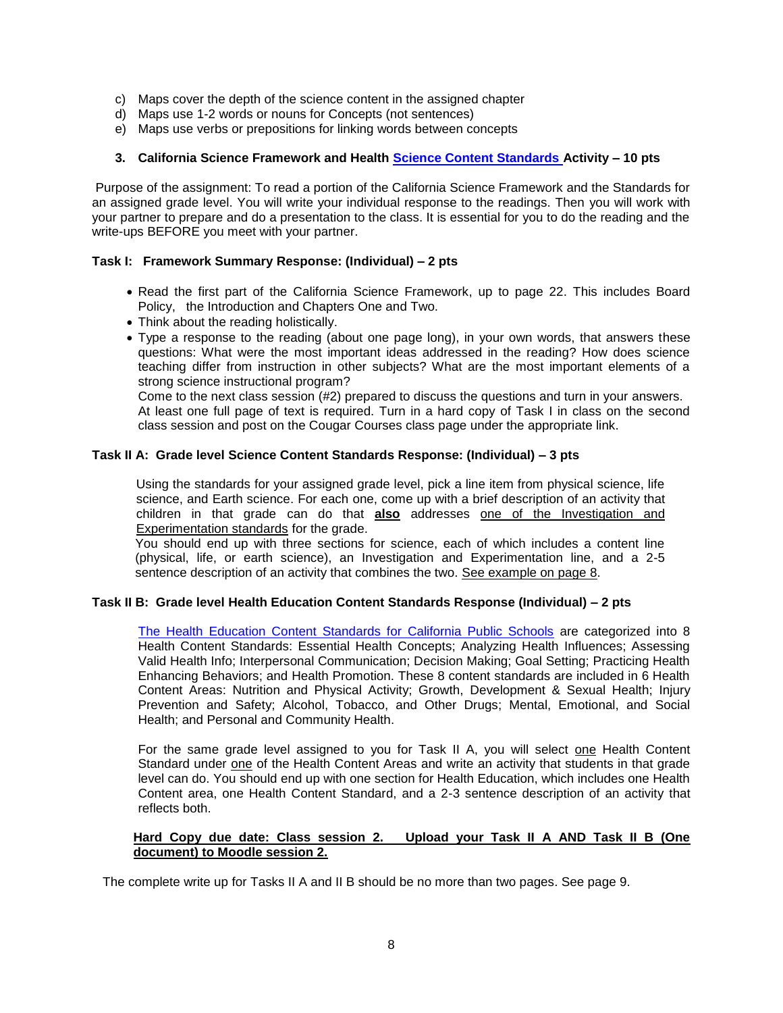- c) Maps cover the depth of the science content in the assigned chapter
- d) Maps use 1-2 words or nouns for Concepts (not sentences)
- e) Maps use verbs or prepositions for linking words between concepts

### **3. California Science Framework and Health [Science Content Standards A](http://www.cde.ca.gov/be/st/ss/documents/sciencestnd.pdf)ctivity – 10 pts**

Purpose of the assignment: To read a portion of the California Science Framework and the Standards for an assigned grade level. You will write your individual response to the readings. Then you will work with your partner to prepare and do a presentation to the class. It is essential for you to do the reading and the write-ups BEFORE you meet with your partner.

#### **Task I: Framework Summary Response: (Individual) – 2 pts**

- Read the first part of the California Science Framework, up to page 22. This includes Board Policy, the Introduction and Chapters One and Two.
- Think about the reading holistically.
- Type a response to the reading (about one page long), in your own words, that answers these questions: What were the most important ideas addressed in the reading? How does science teaching differ from instruction in other subjects? What are the most important elements of a strong science instructional program?

Come to the next class session (#2) prepared to discuss the questions and turn in your answers. At least one full page of text is required. Turn in a hard copy of Task I in class on the second class session and post on the Cougar Courses class page under the appropriate link.

#### **Task II A: Grade level Science Content Standards Response: (Individual) – 3 pts**

Using the standards for your assigned grade level, pick a line item from physical science, life science, and Earth science. For each one, come up with a brief description of an activity that children in that grade can do that **also** addresses one of the Investigation and Experimentation standards for the grade.

You should end up with three sections for science, each of which includes a content line (physical, life, or earth science), an Investigation and Experimentation line, and a 2-5 sentence description of an activity that combines the two. See example on page 8.

#### **Task II B: Grade level Health Education Content Standards Response (Individual) – 2 pts**

[The Health Education Content Standards for California Public Schools](http://www.cde.ca.gov/be/st/ss/documents/healthstandmar08.pdf) are categorized into 8 Health Content Standards: Essential Health Concepts; Analyzing Health Influences; Assessing Valid Health Info; Interpersonal Communication; Decision Making; Goal Setting; Practicing Health Enhancing Behaviors; and Health Promotion. These 8 content standards are included in 6 Health Content Areas: Nutrition and Physical Activity; Growth, Development & Sexual Health; Injury Prevention and Safety; Alcohol, Tobacco, and Other Drugs; Mental, Emotional, and Social Health; and Personal and Community Health.

For the same grade level assigned to you for Task II A, you will select one Health Content Standard under one of the Health Content Areas and write an activity that students in that grade level can do. You should end up with one section for Health Education, which includes one Health Content area, one Health Content Standard, and a 2-3 sentence description of an activity that reflects both.

#### **Hard Copy due date: Class session 2. Upload your Task II A AND Task II B (One document) to Moodle session 2.**

The complete write up for Tasks II A and II B should be no more than two pages. See page 9.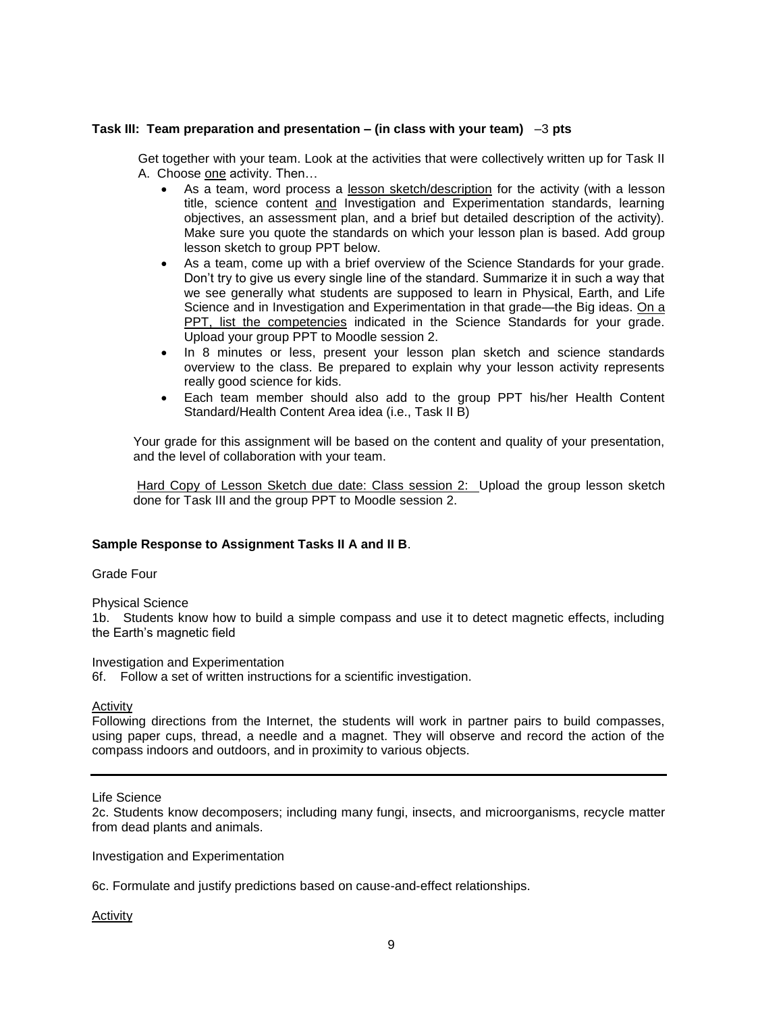#### **Task III: Team preparation and presentation – (in class with your team)** –3 **pts**

Get together with your team. Look at the activities that were collectively written up for Task II A. Choose one activity. Then…

- As a team, word process a lesson sketch/description for the activity (with a lesson title, science content and Investigation and Experimentation standards, learning objectives, an assessment plan, and a brief but detailed description of the activity). Make sure you quote the standards on which your lesson plan is based. Add group lesson sketch to group PPT below.
- As a team, come up with a brief overview of the Science Standards for your grade. Don't try to give us every single line of the standard. Summarize it in such a way that we see generally what students are supposed to learn in Physical, Earth, and Life Science and in Investigation and Experimentation in that grade—the Big ideas. On a PPT, list the competencies indicated in the Science Standards for your grade. Upload your group PPT to Moodle session 2.
- In 8 minutes or less, present your lesson plan sketch and science standards overview to the class. Be prepared to explain why your lesson activity represents really good science for kids.
- Each team member should also add to the group PPT his/her Health Content Standard/Health Content Area idea (i.e., Task II B)

Your grade for this assignment will be based on the content and quality of your presentation, and the level of collaboration with your team.

Hard Copy of Lesson Sketch due date: Class session 2: Upload the group lesson sketch done for Task III and the group PPT to Moodle session 2.

#### **Sample Response to Assignment Tasks II A and II B**.

#### Grade Four

Physical Science

1b. Students know how to build a simple compass and use it to detect magnetic effects, including the Earth's magnetic field

Investigation and Experimentation

6f. Follow a set of written instructions for a scientific investigation.

Activity

Following directions from the Internet, the students will work in partner pairs to build compasses, using paper cups, thread, a needle and a magnet. They will observe and record the action of the compass indoors and outdoors, and in proximity to various objects.

#### Life Science

2c. Students know decomposers; including many fungi, insects, and microorganisms, recycle matter from dead plants and animals.

Investigation and Experimentation

6c. Formulate and justify predictions based on cause-and-effect relationships.

Activity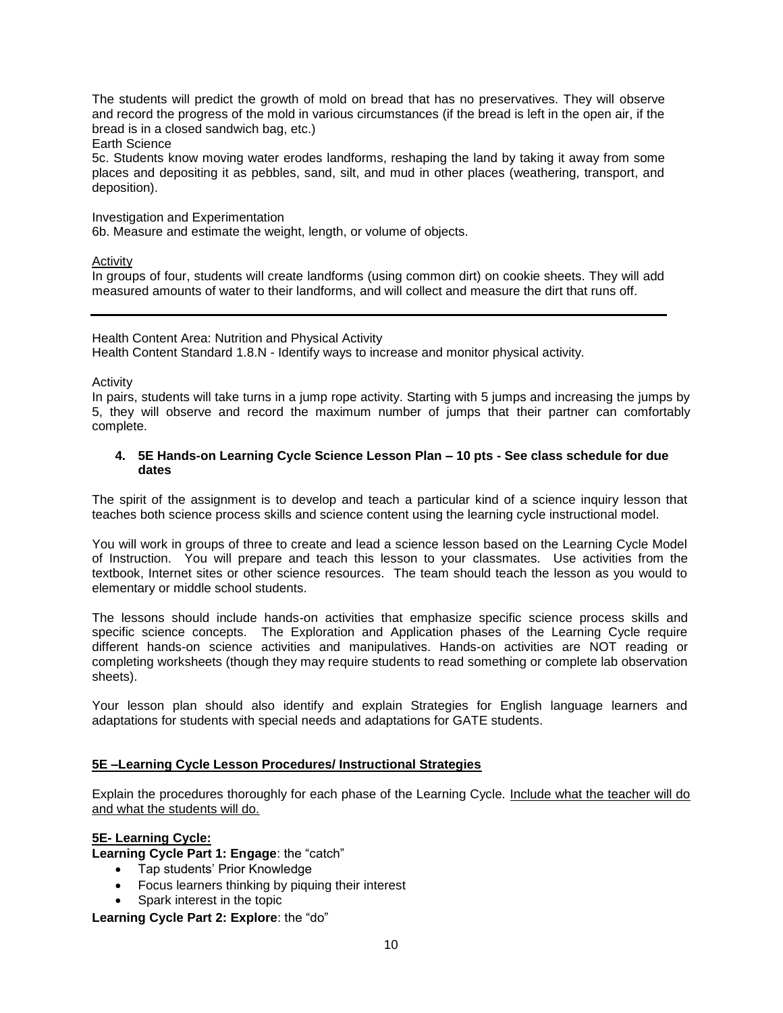The students will predict the growth of mold on bread that has no preservatives. They will observe and record the progress of the mold in various circumstances (if the bread is left in the open air, if the bread is in a closed sandwich bag, etc.)

#### Earth Science

5c. Students know moving water erodes landforms, reshaping the land by taking it away from some places and depositing it as pebbles, sand, silt, and mud in other places (weathering, transport, and deposition).

Investigation and Experimentation

6b. Measure and estimate the weight, length, or volume of objects.

# **Activity**

In groups of four, students will create landforms (using common dirt) on cookie sheets. They will add measured amounts of water to their landforms, and will collect and measure the dirt that runs off.

#### Health Content Area: Nutrition and Physical Activity

Health Content Standard 1.8.N - Identify ways to increase and monitor physical activity*.*

#### Activity

In pairs, students will take turns in a jump rope activity. Starting with 5 jumps and increasing the jumps by 5, they will observe and record the maximum number of jumps that their partner can comfortably complete.

#### **4. 5E Hands-on Learning Cycle Science Lesson Plan – 10 pts - See class schedule for due dates**

The spirit of the assignment is to develop and teach a particular kind of a science inquiry lesson that teaches both science process skills and science content using the learning cycle instructional model.

You will work in groups of three to create and lead a science lesson based on the Learning Cycle Model of Instruction. You will prepare and teach this lesson to your classmates. Use activities from the textbook, Internet sites or other science resources. The team should teach the lesson as you would to elementary or middle school students.

The lessons should include hands-on activities that emphasize specific science process skills and specific science concepts. The Exploration and Application phases of the Learning Cycle require different hands-on science activities and manipulatives. Hands-on activities are NOT reading or completing worksheets (though they may require students to read something or complete lab observation sheets).

Your lesson plan should also identify and explain Strategies for English language learners and adaptations for students with special needs and adaptations for GATE students.

# **5E –Learning Cycle Lesson Procedures/ Instructional Strategies**

Explain the procedures thoroughly for each phase of the Learning Cycle. Include what the teacher will do and what the students will do.

# **5E- Learning Cycle:**

**Learning Cycle Part 1: Engage**: the "catch"

- Tap students' Prior Knowledge
- Focus learners thinking by piquing their interest
- Spark interest in the topic

**Learning Cycle Part 2: Explore**: the "do"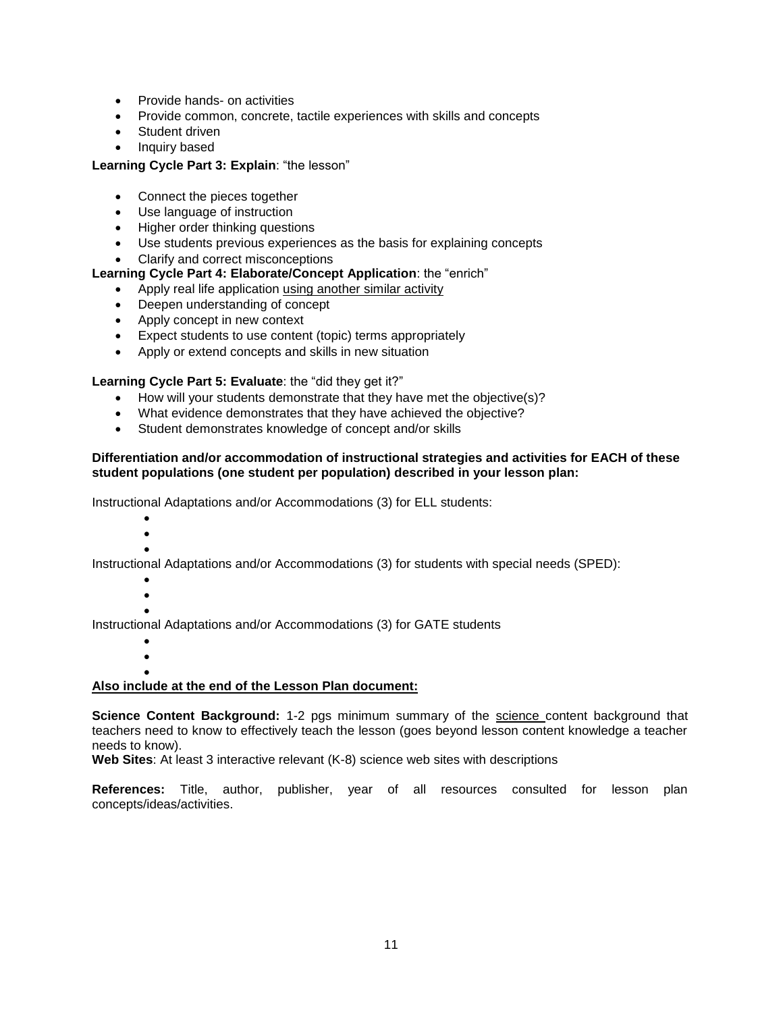- Provide hands- on activities
- Provide common, concrete, tactile experiences with skills and concepts
- Student driven
- Inquiry based

### **Learning Cycle Part 3: Explain**: "the lesson"

- Connect the pieces together
- Use language of instruction
- Higher order thinking questions
- Use students previous experiences as the basis for explaining concepts
- Clarify and correct misconceptions

### **Learning Cycle Part 4: Elaborate/Concept Application**: the "enrich"

- Apply real life application using another similar activity
- Deepen understanding of concept
- Apply concept in new context
- Expect students to use content (topic) terms appropriately
- Apply or extend concepts and skills in new situation

### **Learning Cycle Part 5: Evaluate**: the "did they get it?"

- How will your students demonstrate that they have met the objective(s)?
- What evidence demonstrates that they have achieved the objective?
- Student demonstrates knowledge of concept and/or skills

#### **Differentiation and/or accommodation of instructional strategies and activities for EACH of these student populations (one student per population) described in your lesson plan:**

Instructional Adaptations and/or Accommodations (3) for ELL students:

- $\bullet$
- $\bullet$
- $\bullet$

Instructional Adaptations and/or Accommodations (3) for students with special needs (SPED):

- $\bullet$
- $\bullet$  $\bullet$

Instructional Adaptations and/or Accommodations (3) for GATE students

- $\bullet$
- $\bullet$

#### $\bullet$ **Also include at the end of the Lesson Plan document:**

**Science Content Background:** 1-2 pgs minimum summary of the science content background that teachers need to know to effectively teach the lesson (goes beyond lesson content knowledge a teacher needs to know).

**Web Sites**: At least 3 interactive relevant (K-8) science web sites with descriptions

**References:** Title, author, publisher, year of all resources consulted for lesson plan concepts/ideas/activities.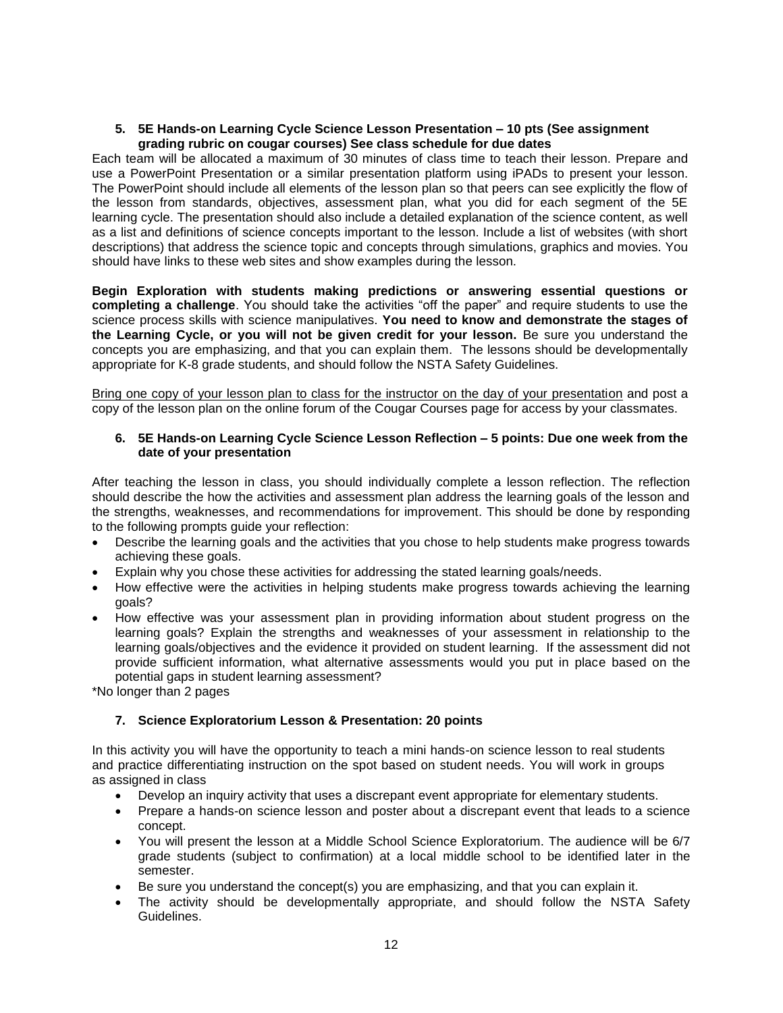#### **5. 5E Hands-on Learning Cycle Science Lesson Presentation – 10 pts (See assignment grading rubric on cougar courses) See class schedule for due dates**

Each team will be allocated a maximum of 30 minutes of class time to teach their lesson. Prepare and use a PowerPoint Presentation or a similar presentation platform using iPADs to present your lesson. The PowerPoint should include all elements of the lesson plan so that peers can see explicitly the flow of the lesson from standards, objectives, assessment plan, what you did for each segment of the 5E learning cycle. The presentation should also include a detailed explanation of the science content, as well as a list and definitions of science concepts important to the lesson. Include a list of websites (with short descriptions) that address the science topic and concepts through simulations, graphics and movies. You should have links to these web sites and show examples during the lesson.

**Begin Exploration with students making predictions or answering essential questions or completing a challenge**. You should take the activities "off the paper" and require students to use the science process skills with science manipulatives. **You need to know and demonstrate the stages of the Learning Cycle, or you will not be given credit for your lesson.** Be sure you understand the concepts you are emphasizing, and that you can explain them. The lessons should be developmentally appropriate for K-8 grade students, and should follow the NSTA Safety Guidelines.

Bring one copy of your lesson plan to class for the instructor on the day of your presentation and post a copy of the lesson plan on the online forum of the Cougar Courses page for access by your classmates.

### **6. 5E Hands-on Learning Cycle Science Lesson Reflection – 5 points: Due one week from the date of your presentation**

After teaching the lesson in class, you should individually complete a lesson reflection. The reflection should describe the how the activities and assessment plan address the learning goals of the lesson and the strengths, weaknesses, and recommendations for improvement. This should be done by responding to the following prompts guide your reflection:

- Describe the learning goals and the activities that you chose to help students make progress towards achieving these goals.
- Explain why you chose these activities for addressing the stated learning goals/needs.
- How effective were the activities in helping students make progress towards achieving the learning goals?
- How effective was your assessment plan in providing information about student progress on the learning goals? Explain the strengths and weaknesses of your assessment in relationship to the learning goals/objectives and the evidence it provided on student learning. If the assessment did not provide sufficient information, what alternative assessments would you put in place based on the potential gaps in student learning assessment?

\*No longer than 2 pages

# **7. Science Exploratorium Lesson & Presentation: 20 points**

In this activity you will have the opportunity to teach a mini hands-on science lesson to real students and practice differentiating instruction on the spot based on student needs. You will work in groups as assigned in class

- Develop an inquiry activity that uses a discrepant event appropriate for elementary students.
- Prepare a hands-on science lesson and poster about a discrepant event that leads to a science concept.
- You will present the lesson at a Middle School Science Exploratorium. The audience will be 6/7 grade students (subject to confirmation) at a local middle school to be identified later in the semester.
- Be sure you understand the concept(s) you are emphasizing, and that you can explain it.
- The activity should be developmentally appropriate, and should follow the NSTA Safety Guidelines.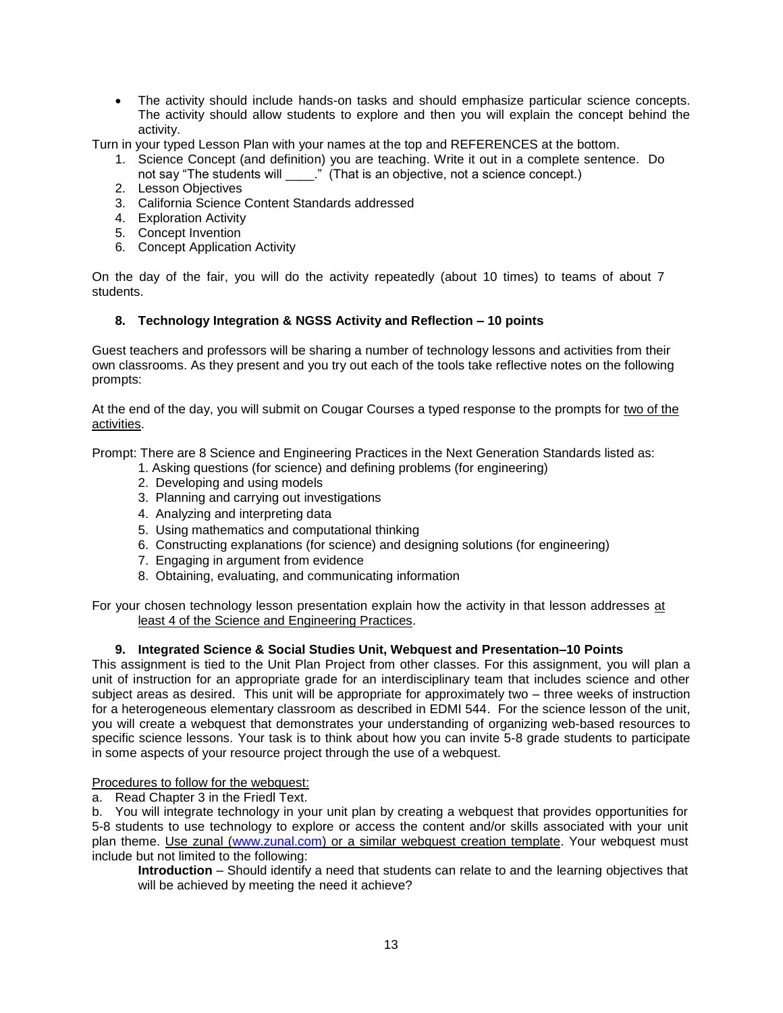The activity should include hands-on tasks and should emphasize particular science concepts. The activity should allow students to explore and then you will explain the concept behind the activity.

Turn in your typed Lesson Plan with your names at the top and REFERENCES at the bottom.

- 1. Science Concept (and definition) you are teaching. Write it out in a complete sentence. Do not say "The students will \_\_\_\_\_." (That is an objective, not a science concept.)
- 2. Lesson Objectives
- 3. California Science Content Standards addressed
- 4. Exploration Activity
- 5. Concept Invention
- 6. Concept Application Activity

On the day of the fair, you will do the activity repeatedly (about 10 times) to teams of about 7 students.

# **8. Technology Integration & NGSS Activity and Reflection – 10 points**

Guest teachers and professors will be sharing a number of technology lessons and activities from their own classrooms. As they present and you try out each of the tools take reflective notes on the following prompts:

At the end of the day, you will submit on Cougar Courses a typed response to the prompts for two of the activities.

Prompt: There are 8 Science and Engineering Practices in the Next Generation Standards listed as:

- 1. Asking questions (for science) and defining problems (for engineering)
- 2. Developing and using models
- 3. Planning and carrying out investigations
- 4. Analyzing and interpreting data
- 5. Using mathematics and computational thinking
- 6. Constructing explanations (for science) and designing solutions (for engineering)
- 7. Engaging in argument from evidence
- 8. Obtaining, evaluating, and communicating information

For your chosen technology lesson presentation explain how the activity in that lesson addresses at least 4 of the Science and Engineering Practices.

# **9. Integrated Science & Social Studies Unit, Webquest and Presentation–10 Points**

This assignment is tied to the Unit Plan Project from other classes. For this assignment, you will plan a unit of instruction for an appropriate grade for an interdisciplinary team that includes science and other subject areas as desired. This unit will be appropriate for approximately two – three weeks of instruction for a heterogeneous elementary classroom as described in EDMI 544. For the science lesson of the unit, you will create a webquest that demonstrates your understanding of organizing web-based resources to specific science lessons. Your task is to think about how you can invite 5-8 grade students to participate in some aspects of your resource project through the use of a webquest.

### Procedures to follow for the webquest:

a. Read Chapter 3 in the Friedl Text.

b. You will integrate technology in your unit plan by creating a webquest that provides opportunities for 5-8 students to use technology to explore or access the content and/or skills associated with your unit plan theme. Use zunal [\(www.zunal.com\)](http://www.zunal.com/) or a similar webquest creation template. Your webquest must include but not limited to the following:

**Introduction** – Should identify a need that students can relate to and the learning objectives that will be achieved by meeting the need it achieve?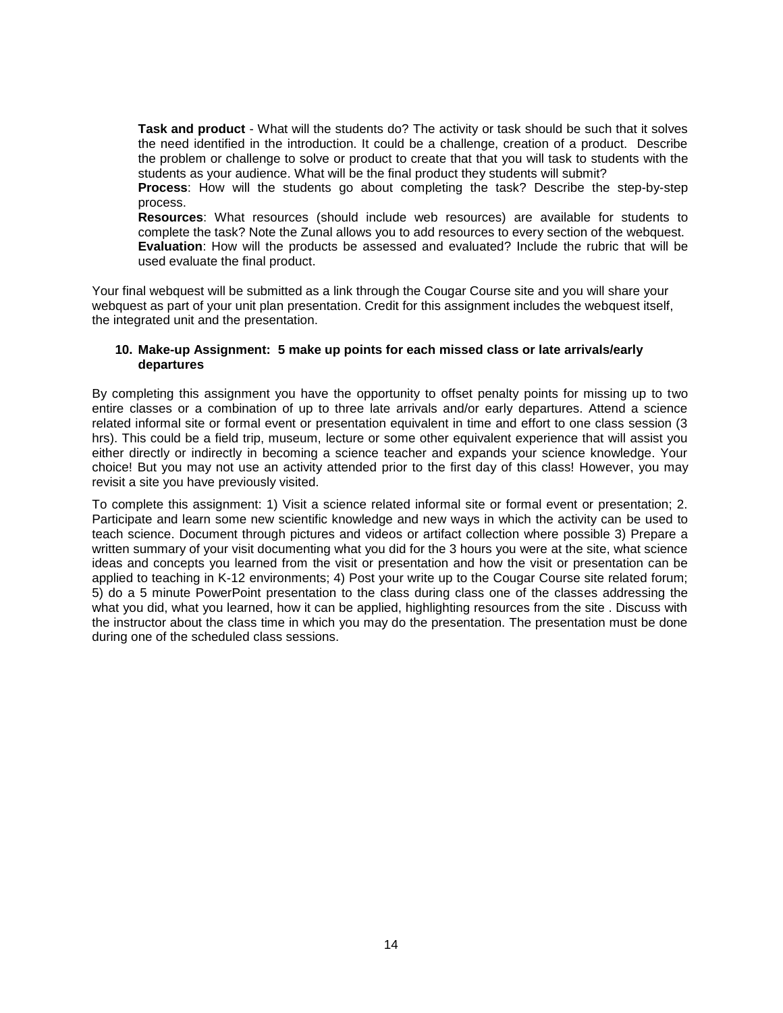**Task and product** - What will the students do? The activity or task should be such that it solves the need identified in the introduction. It could be a challenge, creation of a product. Describe the problem or challenge to solve or product to create that that you will task to students with the students as your audience. What will be the final product they students will submit?

**Process**: How will the students go about completing the task? Describe the step-by-step process.

**Resources**: What resources (should include web resources) are available for students to complete the task? Note the Zunal allows you to add resources to every section of the webquest. **Evaluation**: How will the products be assessed and evaluated? Include the rubric that will be used evaluate the final product.

Your final webquest will be submitted as a link through the Cougar Course site and you will share your webquest as part of your unit plan presentation. Credit for this assignment includes the webquest itself, the integrated unit and the presentation.

#### **10. Make-up Assignment: 5 make up points for each missed class or late arrivals/early departures**

By completing this assignment you have the opportunity to offset penalty points for missing up to two entire classes or a combination of up to three late arrivals and/or early departures. Attend a science related informal site or formal event or presentation equivalent in time and effort to one class session (3 hrs). This could be a field trip, museum, lecture or some other equivalent experience that will assist you either directly or indirectly in becoming a science teacher and expands your science knowledge. Your choice! But you may not use an activity attended prior to the first day of this class! However, you may revisit a site you have previously visited.

To complete this assignment: 1) Visit a science related informal site or formal event or presentation; 2. Participate and learn some new scientific knowledge and new ways in which the activity can be used to teach science. Document through pictures and videos or artifact collection where possible 3) Prepare a written summary of your visit documenting what you did for the 3 hours you were at the site, what science ideas and concepts you learned from the visit or presentation and how the visit or presentation can be applied to teaching in K-12 environments; 4) Post your write up to the Cougar Course site related forum; 5) do a 5 minute PowerPoint presentation to the class during class one of the classes addressing the what you did, what you learned, how it can be applied, highlighting resources from the site, Discuss with the instructor about the class time in which you may do the presentation. The presentation must be done during one of the scheduled class sessions.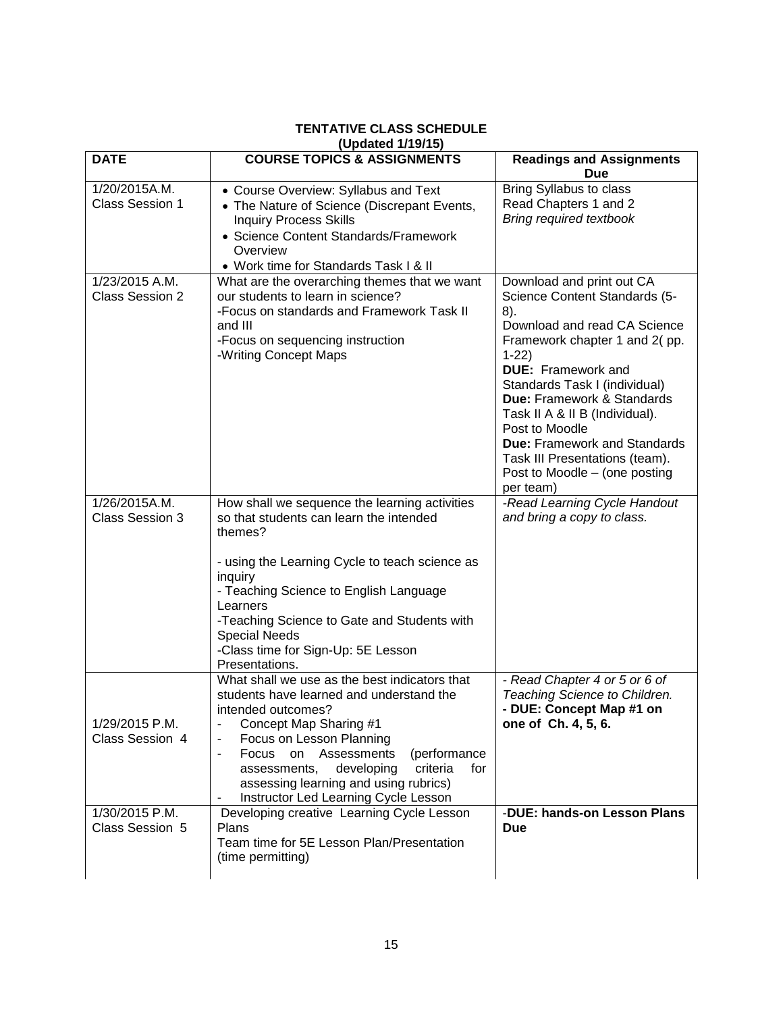#### <span id="page-14-0"></span>**(Updated 1/19/15) DATE COURSE TOPICS & ASSIGNMENTS Readings and Assignments Due** 1/20/2015A.M. Class Session 1 Course Overview: Syllabus and Text The Nature of Science (Discrepant Events, Inquiry Process Skills • Science Content Standards/Framework **Overview**  Work time for Standards Task I & II Bring Syllabus to class Read Chapters 1 and 2 *Bring required textbook* 1/23/2015 A.M. Class Session 2 What are the overarching themes that we want our students to learn in science? -Focus on standards and Framework Task II and III -Focus on sequencing instruction -Writing Concept Maps Download and print out CA Science Content Standards (5- 8). Download and read CA Science Framework chapter 1 and 2( pp. 1-22) **DUE:** Framework and Standards Task I (individual) **Due:** Framework & Standards Task II A & II B (Individual). Post to Moodle **Due:** Framework and Standards Task III Presentations (team). Post to Moodle – (one posting per team) 1/26/2015A.M. Class Session 3 How shall we sequence the learning activities so that students can learn the intended themes? - using the Learning Cycle to teach science as inquiry - Teaching Science to English Language **Learners** -Teaching Science to Gate and Students with Special Needs -Class time for Sign-Up: 5E Lesson Presentations. *-Read Learning Cycle Handout and bring a copy to class.* 1/29/2015 P.M. Class Session 4 What shall we use as the best indicators that students have learned and understand the intended outcomes? - Concept Map Sharing #1 Focus on Lesson Planning Focus on Assessments (performance assessments, developing criteria for assessing learning and using rubrics) Instructor Led Learning Cycle Lesson *- Read Chapter 4 or 5 or 6 of Teaching Science to Children.* **- DUE: Concept Map #1 on one of Ch. 4, 5, 6.** 1/30/2015 P.M. Class Session 5 Developing creative Learning Cycle Lesson Plans Team time for 5E Lesson Plan/Presentation (time permitting) -**DUE: hands-on Lesson Plans Due**

# **TENTATIVE CLASS SCHEDULE**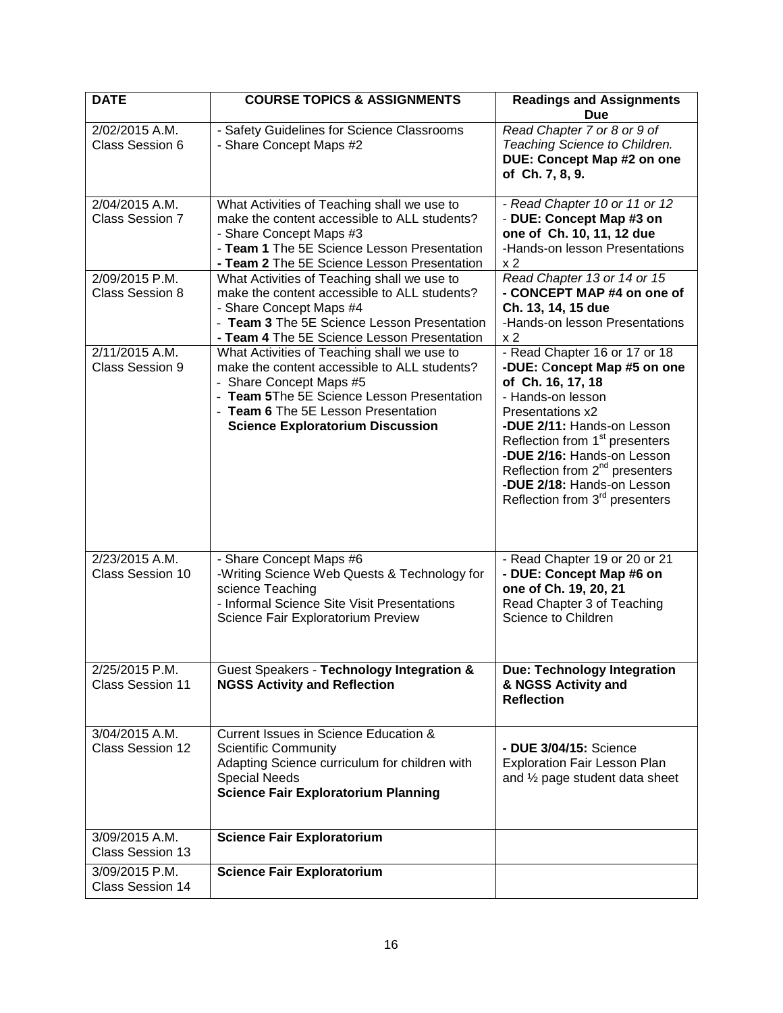| <b>DATE</b>                               | <b>COURSE TOPICS &amp; ASSIGNMENTS</b>                                                                                                                                                                                                                 | <b>Readings and Assignments</b><br><b>Due</b>                                                                                                                                                                                                                                                                                                                  |
|-------------------------------------------|--------------------------------------------------------------------------------------------------------------------------------------------------------------------------------------------------------------------------------------------------------|----------------------------------------------------------------------------------------------------------------------------------------------------------------------------------------------------------------------------------------------------------------------------------------------------------------------------------------------------------------|
| 2/02/2015 A.M.<br>Class Session 6         | - Safety Guidelines for Science Classrooms<br>- Share Concept Maps #2                                                                                                                                                                                  | Read Chapter 7 or 8 or 9 of<br>Teaching Science to Children.<br><b>DUE: Concept Map #2 on one</b><br>of Ch. 7, 8, 9.                                                                                                                                                                                                                                           |
| 2/04/2015 A.M.<br><b>Class Session 7</b>  | What Activities of Teaching shall we use to<br>make the content accessible to ALL students?<br>- Share Concept Maps #3<br>- Team 1 The 5E Science Lesson Presentation<br>- Team 2 The 5E Science Lesson Presentation                                   | - Read Chapter 10 or 11 or 12<br>- DUE: Concept Map #3 on<br>one of Ch. 10, 11, 12 due<br>-Hands-on lesson Presentations<br>x <sub>2</sub>                                                                                                                                                                                                                     |
| 2/09/2015 P.M.<br><b>Class Session 8</b>  | What Activities of Teaching shall we use to<br>make the content accessible to ALL students?<br>- Share Concept Maps #4<br>- Team 3 The 5E Science Lesson Presentation<br>- Team 4 The 5E Science Lesson Presentation                                   | Read Chapter 13 or 14 or 15<br>- CONCEPT MAP #4 on one of<br>Ch. 13, 14, 15 due<br>-Hands-on lesson Presentations<br>x <sub>2</sub>                                                                                                                                                                                                                            |
| 2/11/2015 A.M.<br>Class Session 9         | What Activities of Teaching shall we use to<br>make the content accessible to ALL students?<br>- Share Concept Maps #5<br>- Team 5The 5E Science Lesson Presentation<br>- Team 6 The 5E Lesson Presentation<br><b>Science Exploratorium Discussion</b> | - Read Chapter 16 or 17 or 18<br>-DUE: Concept Map #5 on one<br>of Ch. 16, 17, 18<br>- Hands-on lesson<br>Presentations x2<br>-DUE 2/11: Hands-on Lesson<br>Reflection from 1 <sup>st</sup> presenters<br>-DUE 2/16: Hands-on Lesson<br>Reflection from 2 <sup>nd</sup> presenters<br>-DUE 2/18: Hands-on Lesson<br>Reflection from 3 <sup>rd</sup> presenters |
| 2/23/2015 A.M.<br>Class Session 10        | - Share Concept Maps #6<br>-Writing Science Web Quests & Technology for<br>science Teaching<br>- Informal Science Site Visit Presentations<br>Science Fair Exploratorium Preview                                                                       | - Read Chapter 19 or 20 or 21<br>- DUE: Concept Map #6 on<br>one of Ch. 19, 20, 21<br>Read Chapter 3 of Teaching<br>Science to Children                                                                                                                                                                                                                        |
| 2/25/2015 P.M.<br><b>Class Session 11</b> | Guest Speakers - Technology Integration &<br><b>NGSS Activity and Reflection</b>                                                                                                                                                                       | <b>Due: Technology Integration</b><br>& NGSS Activity and<br><b>Reflection</b>                                                                                                                                                                                                                                                                                 |
| 3/04/2015 A.M.<br>Class Session 12        | Current Issues in Science Education &<br><b>Scientific Community</b><br>Adapting Science curriculum for children with<br><b>Special Needs</b><br><b>Science Fair Exploratorium Planning</b>                                                            | - DUE 3/04/15: Science<br><b>Exploration Fair Lesson Plan</b><br>and $\frac{1}{2}$ page student data sheet                                                                                                                                                                                                                                                     |
| 3/09/2015 A.M.<br>Class Session 13        | <b>Science Fair Exploratorium</b>                                                                                                                                                                                                                      |                                                                                                                                                                                                                                                                                                                                                                |
| 3/09/2015 P.M.<br>Class Session 14        | <b>Science Fair Exploratorium</b>                                                                                                                                                                                                                      |                                                                                                                                                                                                                                                                                                                                                                |